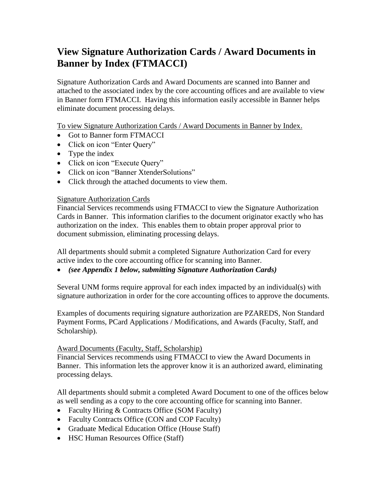# **View Signature Authorization Cards / Award Documents in Banner by Index (FTMACCI)**

Signature Authorization Cards and Award Documents are scanned into Banner and attached to the associated index by the core accounting offices and are available to view in Banner form FTMACCI. Having this information easily accessible in Banner helps eliminate document processing delays.

To view Signature Authorization Cards / Award Documents in Banner by Index.

- Got to Banner form FTMACCI
- Click on icon "Enter Query"
- Type the index
- Click on icon "Execute Query"
- Click on icon "Banner XtenderSolutions"
- Click through the attached documents to view them.

### Signature Authorization Cards

Financial Services recommends using FTMACCI to view the Signature Authorization Cards in Banner. This information clarifies to the document originator exactly who has authorization on the index. This enables them to obtain proper approval prior to document submission, eliminating processing delays.

All departments should submit a completed Signature Authorization Card for every active index to the core accounting office for scanning into Banner.

### *(see Appendix 1 below, submitting Signature Authorization Cards)*

Several UNM forms require approval for each index impacted by an individual(s) with signature authorization in order for the core accounting offices to approve the documents.

Examples of documents requiring signature authorization are PZAREDS, Non Standard Payment Forms, PCard Applications / Modifications, and Awards (Faculty, Staff, and Scholarship).

### Award Documents (Faculty, Staff, Scholarship)

Financial Services recommends using FTMACCI to view the Award Documents in Banner. This information lets the approver know it is an authorized award, eliminating processing delays.

All departments should submit a completed Award Document to one of the offices below as well sending as a copy to the core accounting office for scanning into Banner.

- Faculty Hiring & Contracts Office (SOM Faculty)
- Faculty Contracts Office (CON and COP Faculty)
- Graduate Medical Education Office (House Staff)
- HSC Human Resources Office (Staff)